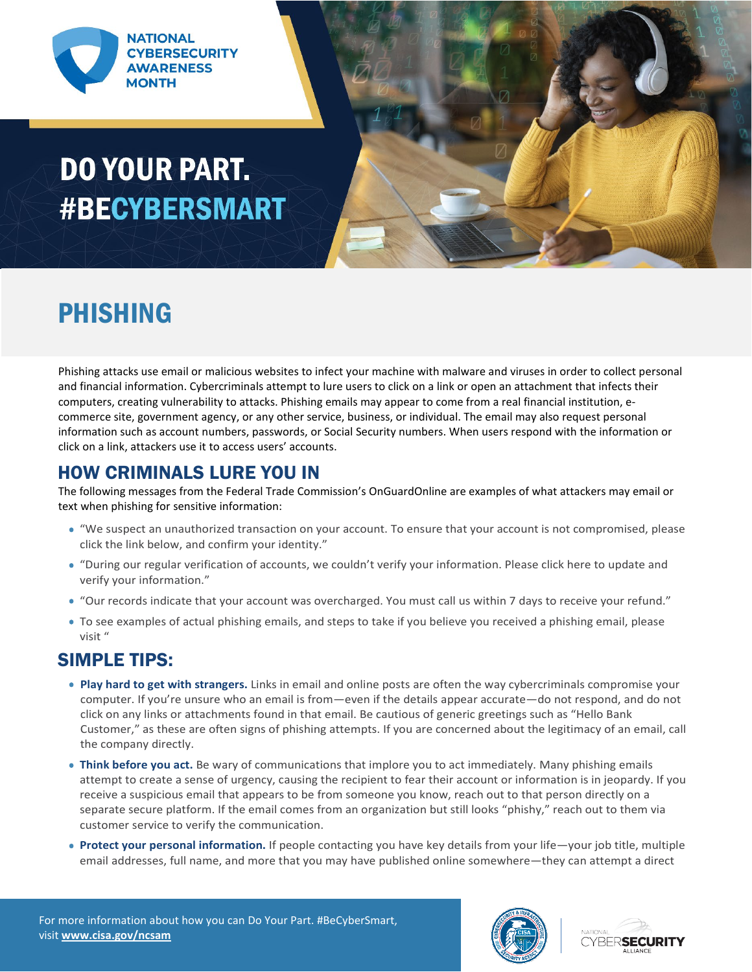

# **DO YOUR PART. #BECYBERSMART**



### PHISHING

Phishing attacks use email or malicious websites to infect your machine with malware and viruses in order to collect personal and financial information. Cybercriminals attempt to lure users to click on a link or open an attachment that infects their computers, creating vulnerability to attacks. Phishing emails may appear to come from a real financial institution, ecommerce site, government agency, or any other service, business, or individual. The email may also request personal information such as account numbers, passwords, or Social Security numbers. When users respond with the information or click on a link, attackers use it to access users' accounts.

#### HOW CRIMINALS LURE YOU IN

The following messages from the Federal Trade Commission's OnGuardOnline are examples of what attackers may email or text when phishing for sensitive information:

- "We suspect an unauthorized transaction on your account. To ensure that your account is not compromised, please click the link below, and confirm your identity."
- "During our regular verification of accounts, we couldn't verify your information. Please click here to update and verify your information."
- "Our records indicate that your account was overcharged. You must call us within 7 days to receive your refund."
- To see examples of actual phishing emails, and steps to take if you believe you received a phishing email, please visit "

#### SIMPLE TIPS:

- **Play hard to get with strangers.** Links in email and online posts are often the way cybercriminals compromise your computer. If you're unsure who an email is from—even if the details appear accurate—do not respond, and do not click on any links or attachments found in that email. Be cautious of generic greetings such as "Hello Bank Customer," as these are often signs of phishing attempts. If you are concerned about the legitimacy of an email, call the company directly.
- **Think before you act.** Be wary of communications that implore you to act immediately. Many phishing emails attempt to create a sense of urgency, causing the recipient to fear their account or information is in jeopardy. If you receive a suspicious email that appears to be from someone you know, reach out to that person directly on a separate secure platform. If the email comes from an organization but still looks "phishy," reach out to them via customer service to verify the communication.
- **Protect your personal information.** If people contacting you have key details from your life—your job title, multiple email addresses, full name, and more that you may have published online somewhere—they can attempt a direct